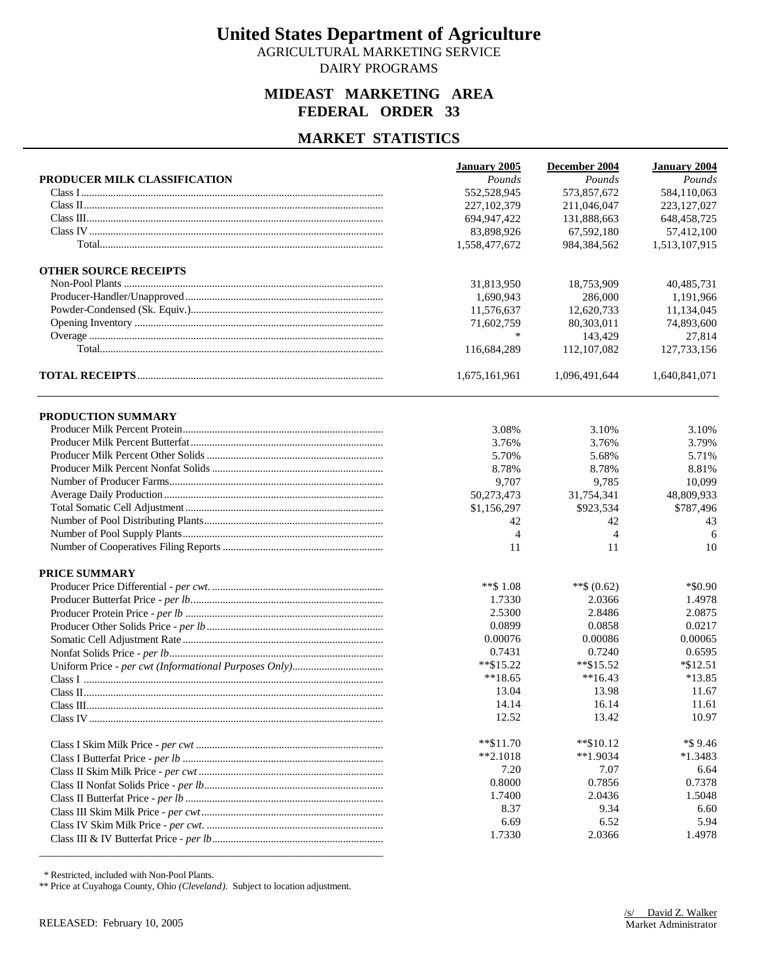AGRICULTURAL MARKETING SERVICE DAIRY PROGRAMS

### **MIDEAST MARKETING AREA FEDERAL ORDER 33**

#### **MARKET STATISTICS**

|                              | <b>January 2005</b> | December 2004 | <b>January 2004</b> |
|------------------------------|---------------------|---------------|---------------------|
| PRODUCER MILK CLASSIFICATION | Pounds              | Pounds        | Pounds              |
|                              | 552,528,945         | 573,857,672   | 584,110,063         |
|                              | 227,102,379         | 211.046.047   | 223, 127, 027       |
|                              | 694,947,422         | 131,888,663   | 648, 458, 725       |
|                              | 83,898,926          | 67,592,180    | 57,412,100          |
|                              | 1,558,477,672       | 984,384,562   | 1,513,107,915       |
| <b>OTHER SOURCE RECEIPTS</b> |                     |               |                     |
|                              | 31,813,950          | 18,753,909    | 40,485,731          |
|                              | 1,690,943           | 286,000       | 1,191,966           |
|                              | 11,576,637          | 12,620,733    | 11,134,045          |
|                              | 71,602,759          | 80,303,011    | 74,893,600          |
|                              | $\ast$              | 143,429       | 27,814              |
|                              | 116,684,289         | 112,107,082   | 127,733,156         |
|                              | 1,675,161,961       | 1,096,491,644 | 1,640,841,071       |
| PRODUCTION SUMMARY           |                     |               |                     |
|                              | 3.08%               | 3.10%         | 3.10%               |
|                              | 3.76%               | 3.76%         | 3.79%               |
|                              | 5.70%               | 5.68%         | 5.71%               |
|                              | 8.78%               | 8.78%         | 8.81%               |
|                              | 9,707               | 9,785         | 10,099              |
|                              | 50,273,473          | 31,754,341    | 48,809,933          |
|                              | \$1,156,297         | \$923.534     | \$787,496           |
|                              | 42                  | 42            | 43                  |
|                              | 4                   | 4             | 6                   |
|                              | 11                  | 11            | 10                  |
| <b>PRICE SUMMARY</b>         |                     |               |                     |
|                              | **\$1.08            | **\$ $(0.62)$ | $*$ \$0.90          |
|                              | 1.7330              | 2.0366        | 1.4978              |
|                              | 2.5300              | 2.8486        | 2.0875              |
|                              | 0.0899              | 0.0858        | 0.0217              |
|                              | 0.00076             | 0.00086       | 0.00065             |
|                              | 0.7431              | 0.7240        | 0.6595              |
|                              | $*$ \$15.22         | $*$ \$15.52   | $*\$12.51$          |
|                              | $**18.65$           | $**16.43$     | $*13.85$            |
|                              | 13.04               | 13.98         | 11.67               |
|                              | 14.14               | 16.14         | 11.61               |
|                              | 12.52               | 13.42         | 10.97               |
|                              | $*$ $$11.70$        | $*$ \$10.12   | *\$9.46             |
|                              | $*2.1018$           | $**1.9034$    | $*1.3483$           |
|                              | 7.20                | 7.07          | 6.64                |
|                              | 0.8000              | 0.7856        | 0.7378              |
|                              | 1.7400              | 2.0436        | 1.5048              |
|                              | 8.37                | 9.34          | 6.60                |
|                              | 6.69                | 6.52          | 5.94                |
|                              | 1.7330              | 2.0366        | 1.4978              |
|                              |                     |               |                     |

\* Restricted, included with Non-Pool Plants.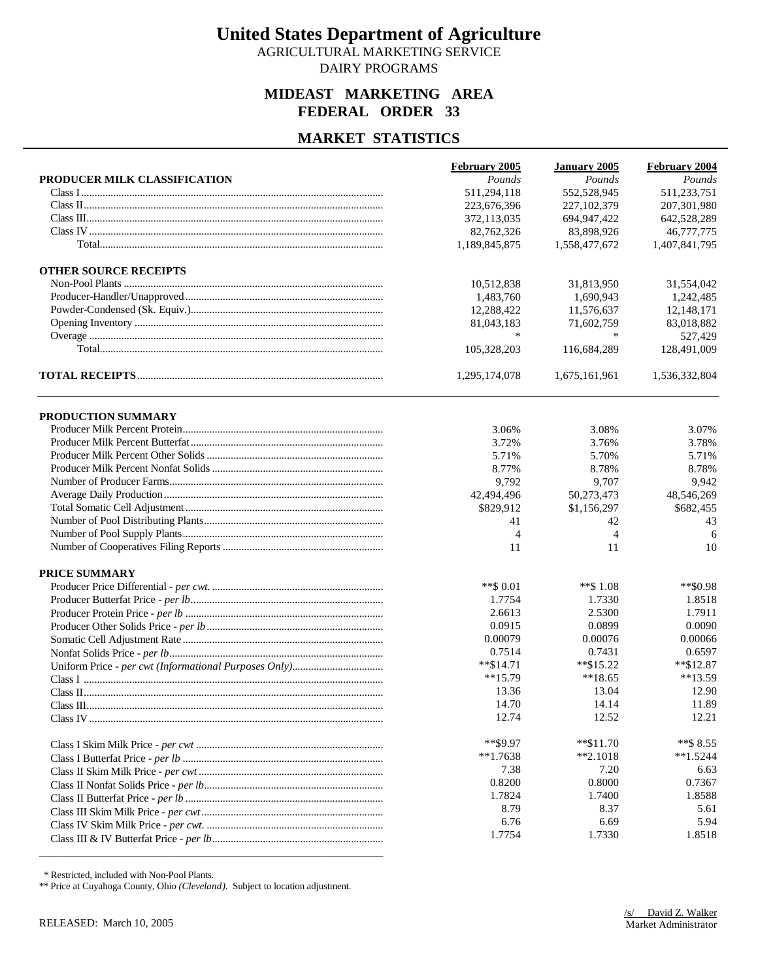AGRICULTURAL MARKETING SERVICE DAIRY PROGRAMS

### **MIDEAST MARKETING AREA FEDERAL ORDER 33**

#### **MARKET STATISTICS**

| 511,233,751<br>511,294,118<br>552,528,945<br>223,676,396<br>227, 102, 379<br>207,301,980<br>642,528,289<br>372,113,035<br>694, 947, 422<br>82,762,326<br>83,898,926<br>46,777,775<br>1,189,845,875<br>1,407,841,795<br>1,558,477,672<br><b>OTHER SOURCE RECEIPTS</b><br>10,512,838<br>31,813,950<br>31,554,042<br>1,483,760<br>1.690.943<br>1,242,485<br>12,288,422<br>12,148,171<br>11,576,637<br>81,043,183<br>83,018,882<br>71,602,759<br>$\ast$<br>$\ast$<br>527,429<br>105,328,203<br>116,684,289<br>128,491,009<br>1,295,174,078<br>1,675,161,961<br>1,536,332,804<br>PRODUCTION SUMMARY<br>3.06%<br>3.08%<br>3.07%<br>3.72%<br>3.76%<br>3.78%<br>5.71%<br>5.71%<br>5.70%<br>8.78%<br>8.78%<br>8.77%<br>9,792<br>9,707<br>9,942<br>42,494,496<br>50,273,473<br>48,546,269<br>\$829,912<br>\$682,455<br>\$1,156,297<br>41<br>43<br>42<br>4<br>4<br>6<br>11<br>10<br>11<br><b>PRICE SUMMARY</b><br>$**$ \$ 0.01<br>$**$ \$1.08<br>**\$0.98<br>1.7754<br>1.7330<br>1.8518<br>2.5300<br>1.7911<br>2.6613<br>0.0915<br>0.0899<br>0.0090<br>0.00079<br>0.00076<br>0.00066<br>0.7514<br>0.7431<br>0.6597<br>$*$ \$14.71<br>$*$ \$15.22<br>$*$ \$12.87<br>**13.59<br>$**15.79$<br>$**18.65$<br>13.36<br>13.04<br>12.90<br>14.70<br>14.14<br>11.89<br>12.74<br>12.21<br>12.52<br>**\$9.97<br>**\$8.55<br>$**\$11.70$<br>$**1.7638$<br>$*2.1018$<br>$*1.5244$<br>7.38<br>7.20<br>6.63<br>0.8200<br>0.8000<br>0.7367<br>1.7824<br>1.7400<br>1.8588<br>8.79<br>8.37<br>5.61<br>6.76<br>6.69<br>5.94<br>1.7754<br>1.7330<br>1.8518 |                              | February 2005 | <b>January 2005</b> | February 2004 |
|-----------------------------------------------------------------------------------------------------------------------------------------------------------------------------------------------------------------------------------------------------------------------------------------------------------------------------------------------------------------------------------------------------------------------------------------------------------------------------------------------------------------------------------------------------------------------------------------------------------------------------------------------------------------------------------------------------------------------------------------------------------------------------------------------------------------------------------------------------------------------------------------------------------------------------------------------------------------------------------------------------------------------------------------------------------------------------------------------------------------------------------------------------------------------------------------------------------------------------------------------------------------------------------------------------------------------------------------------------------------------------------------------------------------------------------------------------------------------------------------------------------------------------|------------------------------|---------------|---------------------|---------------|
|                                                                                                                                                                                                                                                                                                                                                                                                                                                                                                                                                                                                                                                                                                                                                                                                                                                                                                                                                                                                                                                                                                                                                                                                                                                                                                                                                                                                                                                                                                                             | PRODUCER MILK CLASSIFICATION | Pounds        | Pounds              | Pounds        |
|                                                                                                                                                                                                                                                                                                                                                                                                                                                                                                                                                                                                                                                                                                                                                                                                                                                                                                                                                                                                                                                                                                                                                                                                                                                                                                                                                                                                                                                                                                                             |                              |               |                     |               |
|                                                                                                                                                                                                                                                                                                                                                                                                                                                                                                                                                                                                                                                                                                                                                                                                                                                                                                                                                                                                                                                                                                                                                                                                                                                                                                                                                                                                                                                                                                                             |                              |               |                     |               |
|                                                                                                                                                                                                                                                                                                                                                                                                                                                                                                                                                                                                                                                                                                                                                                                                                                                                                                                                                                                                                                                                                                                                                                                                                                                                                                                                                                                                                                                                                                                             |                              |               |                     |               |
|                                                                                                                                                                                                                                                                                                                                                                                                                                                                                                                                                                                                                                                                                                                                                                                                                                                                                                                                                                                                                                                                                                                                                                                                                                                                                                                                                                                                                                                                                                                             |                              |               |                     |               |
|                                                                                                                                                                                                                                                                                                                                                                                                                                                                                                                                                                                                                                                                                                                                                                                                                                                                                                                                                                                                                                                                                                                                                                                                                                                                                                                                                                                                                                                                                                                             |                              |               |                     |               |
|                                                                                                                                                                                                                                                                                                                                                                                                                                                                                                                                                                                                                                                                                                                                                                                                                                                                                                                                                                                                                                                                                                                                                                                                                                                                                                                                                                                                                                                                                                                             |                              |               |                     |               |
|                                                                                                                                                                                                                                                                                                                                                                                                                                                                                                                                                                                                                                                                                                                                                                                                                                                                                                                                                                                                                                                                                                                                                                                                                                                                                                                                                                                                                                                                                                                             |                              |               |                     |               |
|                                                                                                                                                                                                                                                                                                                                                                                                                                                                                                                                                                                                                                                                                                                                                                                                                                                                                                                                                                                                                                                                                                                                                                                                                                                                                                                                                                                                                                                                                                                             |                              |               |                     |               |
|                                                                                                                                                                                                                                                                                                                                                                                                                                                                                                                                                                                                                                                                                                                                                                                                                                                                                                                                                                                                                                                                                                                                                                                                                                                                                                                                                                                                                                                                                                                             |                              |               |                     |               |
|                                                                                                                                                                                                                                                                                                                                                                                                                                                                                                                                                                                                                                                                                                                                                                                                                                                                                                                                                                                                                                                                                                                                                                                                                                                                                                                                                                                                                                                                                                                             |                              |               |                     |               |
|                                                                                                                                                                                                                                                                                                                                                                                                                                                                                                                                                                                                                                                                                                                                                                                                                                                                                                                                                                                                                                                                                                                                                                                                                                                                                                                                                                                                                                                                                                                             |                              |               |                     |               |
|                                                                                                                                                                                                                                                                                                                                                                                                                                                                                                                                                                                                                                                                                                                                                                                                                                                                                                                                                                                                                                                                                                                                                                                                                                                                                                                                                                                                                                                                                                                             |                              |               |                     |               |
|                                                                                                                                                                                                                                                                                                                                                                                                                                                                                                                                                                                                                                                                                                                                                                                                                                                                                                                                                                                                                                                                                                                                                                                                                                                                                                                                                                                                                                                                                                                             |                              |               |                     |               |
|                                                                                                                                                                                                                                                                                                                                                                                                                                                                                                                                                                                                                                                                                                                                                                                                                                                                                                                                                                                                                                                                                                                                                                                                                                                                                                                                                                                                                                                                                                                             |                              |               |                     |               |
|                                                                                                                                                                                                                                                                                                                                                                                                                                                                                                                                                                                                                                                                                                                                                                                                                                                                                                                                                                                                                                                                                                                                                                                                                                                                                                                                                                                                                                                                                                                             |                              |               |                     |               |
|                                                                                                                                                                                                                                                                                                                                                                                                                                                                                                                                                                                                                                                                                                                                                                                                                                                                                                                                                                                                                                                                                                                                                                                                                                                                                                                                                                                                                                                                                                                             |                              |               |                     |               |
|                                                                                                                                                                                                                                                                                                                                                                                                                                                                                                                                                                                                                                                                                                                                                                                                                                                                                                                                                                                                                                                                                                                                                                                                                                                                                                                                                                                                                                                                                                                             |                              |               |                     |               |
|                                                                                                                                                                                                                                                                                                                                                                                                                                                                                                                                                                                                                                                                                                                                                                                                                                                                                                                                                                                                                                                                                                                                                                                                                                                                                                                                                                                                                                                                                                                             |                              |               |                     |               |
|                                                                                                                                                                                                                                                                                                                                                                                                                                                                                                                                                                                                                                                                                                                                                                                                                                                                                                                                                                                                                                                                                                                                                                                                                                                                                                                                                                                                                                                                                                                             |                              |               |                     |               |
|                                                                                                                                                                                                                                                                                                                                                                                                                                                                                                                                                                                                                                                                                                                                                                                                                                                                                                                                                                                                                                                                                                                                                                                                                                                                                                                                                                                                                                                                                                                             |                              |               |                     |               |
|                                                                                                                                                                                                                                                                                                                                                                                                                                                                                                                                                                                                                                                                                                                                                                                                                                                                                                                                                                                                                                                                                                                                                                                                                                                                                                                                                                                                                                                                                                                             |                              |               |                     |               |
|                                                                                                                                                                                                                                                                                                                                                                                                                                                                                                                                                                                                                                                                                                                                                                                                                                                                                                                                                                                                                                                                                                                                                                                                                                                                                                                                                                                                                                                                                                                             |                              |               |                     |               |
|                                                                                                                                                                                                                                                                                                                                                                                                                                                                                                                                                                                                                                                                                                                                                                                                                                                                                                                                                                                                                                                                                                                                                                                                                                                                                                                                                                                                                                                                                                                             |                              |               |                     |               |
|                                                                                                                                                                                                                                                                                                                                                                                                                                                                                                                                                                                                                                                                                                                                                                                                                                                                                                                                                                                                                                                                                                                                                                                                                                                                                                                                                                                                                                                                                                                             |                              |               |                     |               |
|                                                                                                                                                                                                                                                                                                                                                                                                                                                                                                                                                                                                                                                                                                                                                                                                                                                                                                                                                                                                                                                                                                                                                                                                                                                                                                                                                                                                                                                                                                                             |                              |               |                     |               |
|                                                                                                                                                                                                                                                                                                                                                                                                                                                                                                                                                                                                                                                                                                                                                                                                                                                                                                                                                                                                                                                                                                                                                                                                                                                                                                                                                                                                                                                                                                                             |                              |               |                     |               |
|                                                                                                                                                                                                                                                                                                                                                                                                                                                                                                                                                                                                                                                                                                                                                                                                                                                                                                                                                                                                                                                                                                                                                                                                                                                                                                                                                                                                                                                                                                                             |                              |               |                     |               |
|                                                                                                                                                                                                                                                                                                                                                                                                                                                                                                                                                                                                                                                                                                                                                                                                                                                                                                                                                                                                                                                                                                                                                                                                                                                                                                                                                                                                                                                                                                                             |                              |               |                     |               |
|                                                                                                                                                                                                                                                                                                                                                                                                                                                                                                                                                                                                                                                                                                                                                                                                                                                                                                                                                                                                                                                                                                                                                                                                                                                                                                                                                                                                                                                                                                                             |                              |               |                     |               |
|                                                                                                                                                                                                                                                                                                                                                                                                                                                                                                                                                                                                                                                                                                                                                                                                                                                                                                                                                                                                                                                                                                                                                                                                                                                                                                                                                                                                                                                                                                                             |                              |               |                     |               |
|                                                                                                                                                                                                                                                                                                                                                                                                                                                                                                                                                                                                                                                                                                                                                                                                                                                                                                                                                                                                                                                                                                                                                                                                                                                                                                                                                                                                                                                                                                                             |                              |               |                     |               |
|                                                                                                                                                                                                                                                                                                                                                                                                                                                                                                                                                                                                                                                                                                                                                                                                                                                                                                                                                                                                                                                                                                                                                                                                                                                                                                                                                                                                                                                                                                                             |                              |               |                     |               |
|                                                                                                                                                                                                                                                                                                                                                                                                                                                                                                                                                                                                                                                                                                                                                                                                                                                                                                                                                                                                                                                                                                                                                                                                                                                                                                                                                                                                                                                                                                                             |                              |               |                     |               |
|                                                                                                                                                                                                                                                                                                                                                                                                                                                                                                                                                                                                                                                                                                                                                                                                                                                                                                                                                                                                                                                                                                                                                                                                                                                                                                                                                                                                                                                                                                                             |                              |               |                     |               |
|                                                                                                                                                                                                                                                                                                                                                                                                                                                                                                                                                                                                                                                                                                                                                                                                                                                                                                                                                                                                                                                                                                                                                                                                                                                                                                                                                                                                                                                                                                                             |                              |               |                     |               |
|                                                                                                                                                                                                                                                                                                                                                                                                                                                                                                                                                                                                                                                                                                                                                                                                                                                                                                                                                                                                                                                                                                                                                                                                                                                                                                                                                                                                                                                                                                                             |                              |               |                     |               |
|                                                                                                                                                                                                                                                                                                                                                                                                                                                                                                                                                                                                                                                                                                                                                                                                                                                                                                                                                                                                                                                                                                                                                                                                                                                                                                                                                                                                                                                                                                                             |                              |               |                     |               |
|                                                                                                                                                                                                                                                                                                                                                                                                                                                                                                                                                                                                                                                                                                                                                                                                                                                                                                                                                                                                                                                                                                                                                                                                                                                                                                                                                                                                                                                                                                                             |                              |               |                     |               |
|                                                                                                                                                                                                                                                                                                                                                                                                                                                                                                                                                                                                                                                                                                                                                                                                                                                                                                                                                                                                                                                                                                                                                                                                                                                                                                                                                                                                                                                                                                                             |                              |               |                     |               |
|                                                                                                                                                                                                                                                                                                                                                                                                                                                                                                                                                                                                                                                                                                                                                                                                                                                                                                                                                                                                                                                                                                                                                                                                                                                                                                                                                                                                                                                                                                                             |                              |               |                     |               |
|                                                                                                                                                                                                                                                                                                                                                                                                                                                                                                                                                                                                                                                                                                                                                                                                                                                                                                                                                                                                                                                                                                                                                                                                                                                                                                                                                                                                                                                                                                                             |                              |               |                     |               |
|                                                                                                                                                                                                                                                                                                                                                                                                                                                                                                                                                                                                                                                                                                                                                                                                                                                                                                                                                                                                                                                                                                                                                                                                                                                                                                                                                                                                                                                                                                                             |                              |               |                     |               |
|                                                                                                                                                                                                                                                                                                                                                                                                                                                                                                                                                                                                                                                                                                                                                                                                                                                                                                                                                                                                                                                                                                                                                                                                                                                                                                                                                                                                                                                                                                                             |                              |               |                     |               |
|                                                                                                                                                                                                                                                                                                                                                                                                                                                                                                                                                                                                                                                                                                                                                                                                                                                                                                                                                                                                                                                                                                                                                                                                                                                                                                                                                                                                                                                                                                                             |                              |               |                     |               |

\* Restricted, included with Non-Pool Plants.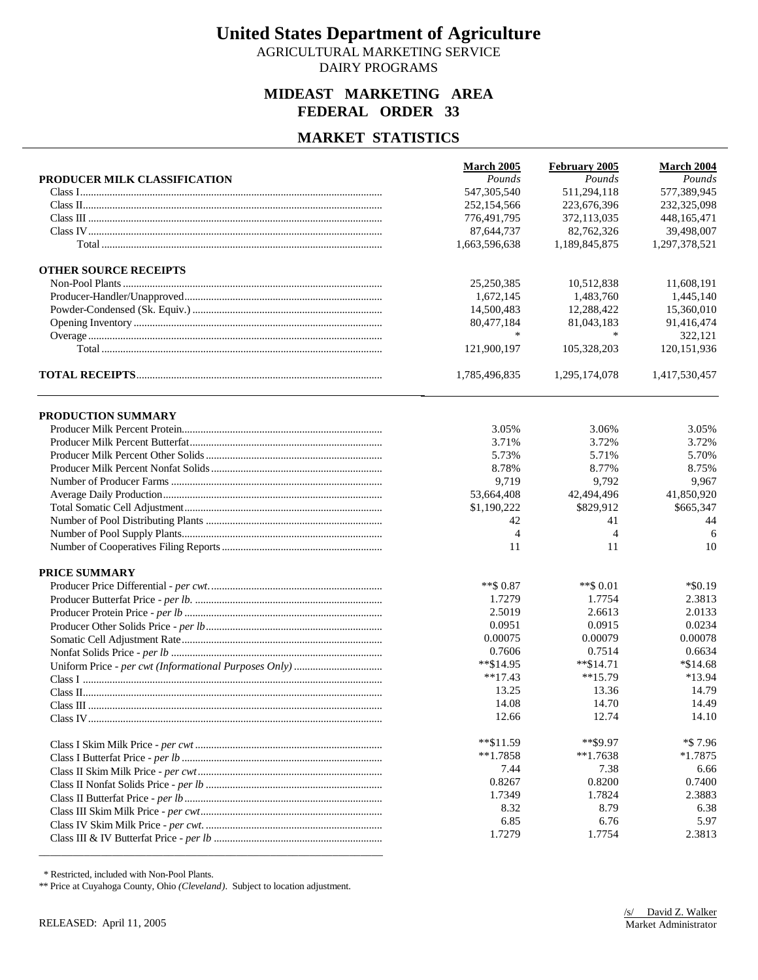AGRICULTURAL MARKETING SERVICE DAIRY PROGRAMS

### **MIDEAST MARKETING AREA FEDERAL ORDER 33**

#### **MARKET STATISTICS**

|                              | March 2005    | February 2005  | March 2004    |
|------------------------------|---------------|----------------|---------------|
| PRODUCER MILK CLASSIFICATION | Pounds        | Pounds         | Pounds        |
|                              | 547, 305, 540 | 511,294,118    | 577,389,945   |
|                              | 252,154,566   | 223,676,396    | 232,325,098   |
|                              | 776,491,795   | 372,113,035    | 448,165,471   |
|                              | 87,644,737    | 82,762,326     | 39,498,007    |
|                              | 1,663,596,638 | 1,189,845,875  | 1,297,378,521 |
| <b>OTHER SOURCE RECEIPTS</b> |               |                |               |
|                              | 25,250,385    | 10,512,838     | 11,608,191    |
|                              | 1,672,145     | 1,483,760      | 1,445,140     |
|                              | 14,500,483    | 12,288,422     | 15,360,010    |
|                              | 80,477,184    | 81,043,183     | 91,416,474    |
|                              | $\ast$        | $\ast$         | 322,121       |
|                              | 121,900,197   | 105,328,203    | 120, 151, 936 |
|                              | 1,785,496,835 | 1,295,174,078  | 1,417,530,457 |
| PRODUCTION SUMMARY           |               |                |               |
|                              | 3.05%         | 3.06%          | 3.05%         |
|                              | 3.71%         | 3.72%          | 3.72%         |
|                              | 5.73%         | 5.71%          | 5.70%         |
|                              | 8.78%         | 8.77%          | 8.75%         |
|                              | 9,719         | 9,792          | 9,967         |
|                              | 53,664,408    | 42,494,496     | 41,850,920    |
|                              | \$1,190,222   | \$829,912      | \$665,347     |
|                              | 42            | 41             | 44            |
|                              | 4             | $\overline{4}$ | 6             |
|                              | 11            | 11             | 10            |
| <b>PRICE SUMMARY</b>         |               |                |               |
|                              | $**$ \$ 0.87  | **\$ 0.01      | $*$ \$0.19    |
|                              | 1.7279        | 1.7754         | 2.3813        |
|                              | 2.5019        | 2.6613         | 2.0133        |
|                              | 0.0951        | 0.0915         | 0.0234        |
|                              | 0.00075       | 0.00079        | 0.00078       |
|                              | 0.7606        | 0.7514         | 0.6634        |
|                              | **\$14.95     | $*$ $$14.71$   | $*\$14.68$    |
|                              | $**17.43$     | $**15.79$      | *13.94        |
|                              | 13.25         | 13.36          | 14.79         |
|                              | 14.08         | 14.70          | 14.49         |
|                              | 12.66         | 12.74          | 14.10         |
|                              | $*$ $$11.59$  | $**$ \$9.97    | *\$ 7.96      |
|                              | $**1.7858$    | $**1.7638$     | $*1.7875$     |
|                              | 7.44          | 7.38           | 6.66          |
|                              | 0.8267        | 0.8200         | 0.7400        |
|                              | 1.7349        | 1.7824         | 2.3883        |
|                              | 8.32          | 8.79           | 6.38          |
|                              | 6.85          | 6.76           | 5.97          |
|                              | 1.7279        | 1.7754         | 2.3813        |
|                              |               |                |               |

\* Restricted, included with Non-Pool Plants.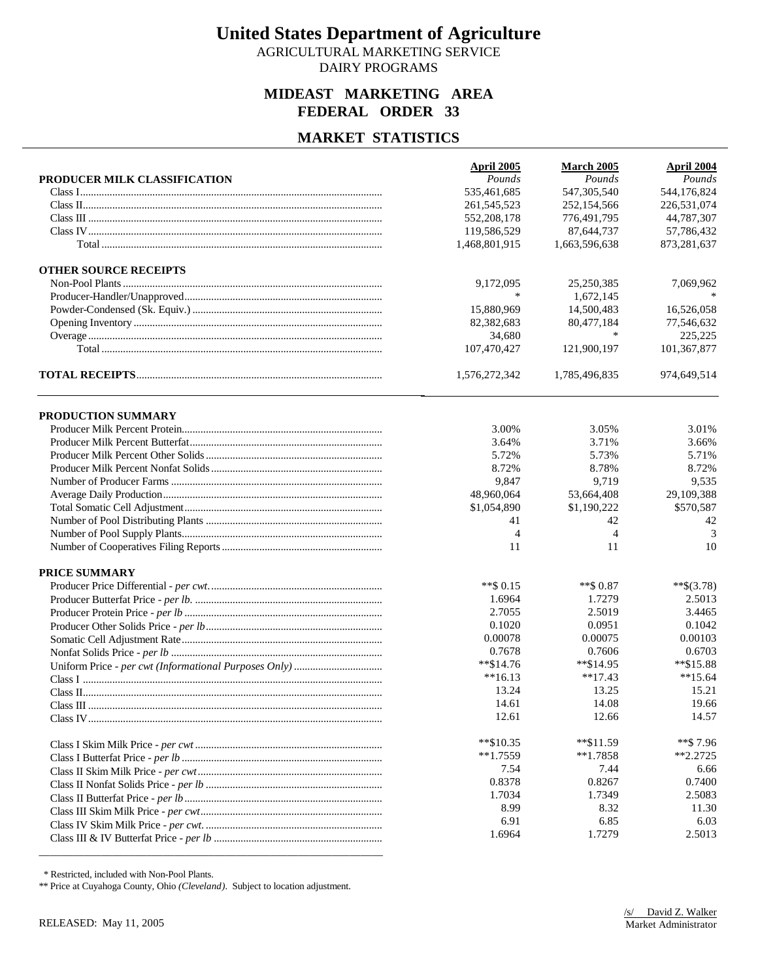AGRICULTURAL MARKETING SERVICE DAIRY PROGRAMS

### **MIDEAST MARKETING AREA FEDERAL ORDER 33**

#### **MARKET STATISTICS**

|                              | April 2005     | March 2005     | April 2004   |
|------------------------------|----------------|----------------|--------------|
| PRODUCER MILK CLASSIFICATION | Pounds         | Pounds         | Pounds       |
|                              | 535,461,685    | 547, 305, 540  | 544,176,824  |
|                              | 261, 545, 523  | 252,154,566    | 226,531,074  |
|                              | 552, 208, 178  | 776,491,795    | 44,787,307   |
|                              | 119,586,529    | 87,644,737     | 57,786,432   |
|                              | 1,468,801,915  | 1,663,596,638  | 873,281,637  |
| <b>OTHER SOURCE RECEIPTS</b> |                |                |              |
|                              | 9,172,095      | 25,250,385     | 7,069,962    |
|                              | $\ast$         | 1,672,145      |              |
|                              | 15,880,969     | 14,500,483     | 16,526,058   |
|                              | 82,382,683     | 80,477,184     | 77,546,632   |
|                              | 34,680         | $\ast$         | 225,225      |
|                              | 107,470,427    | 121,900,197    | 101,367,877  |
|                              | 1,576,272,342  | 1,785,496,835  | 974,649,514  |
| PRODUCTION SUMMARY           |                |                |              |
|                              | 3.00%          | 3.05%          | 3.01%        |
|                              | 3.64%          | 3.71%          | 3.66%        |
|                              | 5.72%          | 5.73%          | 5.71%        |
|                              | 8.72%          | 8.78%          | 8.72%        |
|                              | 9,847          | 9,719          | 9,535        |
|                              | 48,960,064     | 53,664,408     | 29,109,388   |
|                              | \$1,054,890    | \$1,190,222    | \$570,587    |
|                              | 41             | 42             | 42           |
|                              | $\overline{4}$ | $\overline{4}$ | 3            |
|                              | 11             | 11             | 10           |
| <b>PRICE SUMMARY</b>         |                |                |              |
|                              | $**$ \$ 0.15   | ** \$0.87      | $**\$(3.78)$ |
|                              | 1.6964         | 1.7279         | 2.5013       |
|                              | 2.7055         | 2.5019         | 3.4465       |
|                              | 0.1020         | 0.0951         | 0.1042       |
|                              | 0.00078        | 0.00075        | 0.00103      |
|                              | 0.7678         | 0.7606         | 0.6703       |
|                              | $*$ $$14.76$   | $*$ $$14.95$   | **\$15.88    |
|                              | $**16.13$      | $**17.43$      | $**15.64$    |
|                              | 13.24          | 13.25          | 15.21        |
|                              | 14.61          | 14.08          | 19.66        |
|                              | 12.61          | 12.66          | 14.57        |
|                              | $*$ $$10.35$   | $*$ $$11.59$   | **\$7.96     |
|                              | $**1.7559$     | $*1.7858$      | $*2.2725$    |
|                              | 7.54           | 7.44           | 6.66         |
|                              | 0.8378         | 0.8267         | 0.7400       |
|                              | 1.7034         | 1.7349         | 2.5083       |
|                              | 8.99           | 8.32           | 11.30        |
|                              | 6.91           | 6.85           | 6.03         |
|                              | 1.6964         | 1.7279         | 2.5013       |
|                              |                |                |              |

\* Restricted, included with Non-Pool Plants.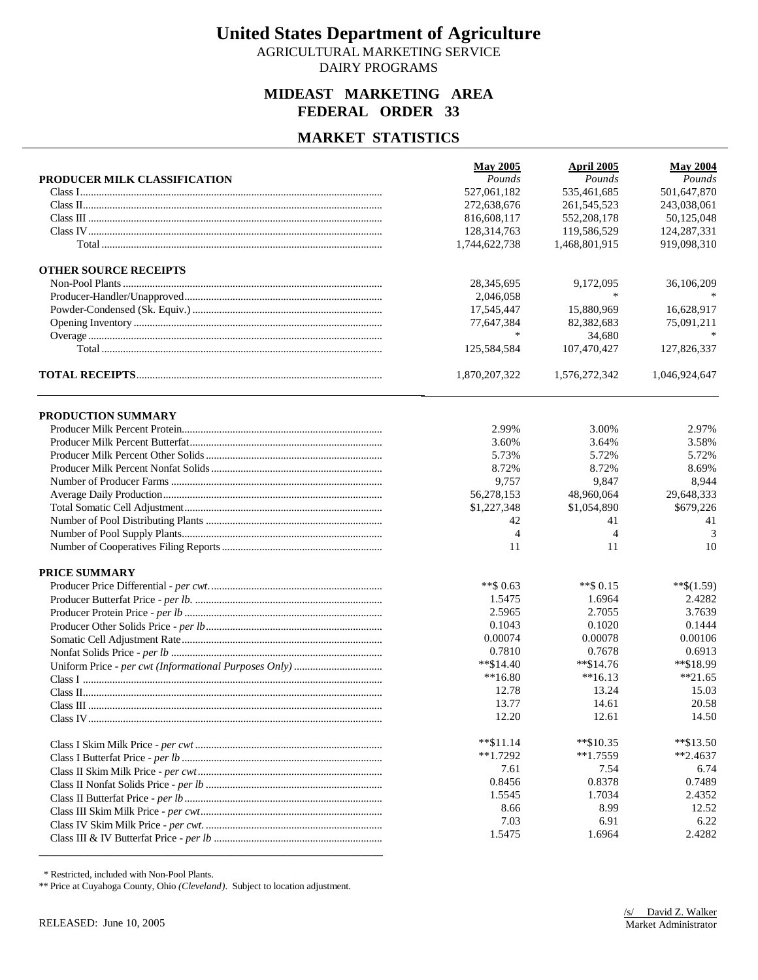AGRICULTURAL MARKETING SERVICE DAIRY PROGRAMS

### **MIDEAST MARKETING AREA FEDERAL ORDER 33**

#### **MARKET STATISTICS**

|                              | <b>May 2005</b> | April 2005     | <b>May 2004</b> |
|------------------------------|-----------------|----------------|-----------------|
| PRODUCER MILK CLASSIFICATION | Pounds          | Pounds         | Pounds          |
|                              | 527,061,182     | 535,461,685    | 501,647,870     |
|                              | 272,638,676     | 261,545,523    | 243,038,061     |
|                              | 816,608,117     | 552,208,178    | 50,125,048      |
|                              | 128,314,763     | 119,586,529    | 124,287,331     |
|                              | 1,744,622,738   | 1,468,801,915  | 919,098,310     |
| <b>OTHER SOURCE RECEIPTS</b> |                 |                |                 |
|                              | 28,345,695      | 9,172,095      | 36,106,209      |
|                              | 2,046,058       | $\ast$         |                 |
|                              | 17,545,447      | 15,880,969     | 16,628,917      |
|                              | 77,647,384      | 82,382,683     | 75,091,211      |
|                              | ∗               | 34,680         |                 |
|                              | 125,584,584     | 107,470,427    | 127,826,337     |
|                              | 1,870,207,322   | 1,576,272,342  | 1,046,924,647   |
| PRODUCTION SUMMARY           |                 |                |                 |
|                              | 2.99%           | 3.00%          | 2.97%           |
|                              | 3.60%           | 3.64%          | 3.58%           |
|                              | 5.73%           | 5.72%          | 5.72%           |
|                              | 8.72%           | 8.72%          | 8.69%           |
|                              | 9,757           | 9,847          | 8,944           |
|                              | 56,278,153      | 48,960,064     | 29,648,333      |
|                              | \$1,227,348     | \$1,054,890    | \$679,226       |
|                              | 42              | 41             | 41              |
|                              | $\overline{4}$  | $\overline{4}$ | 3               |
|                              | 11              | 11             | 10              |
| <b>PRICE SUMMARY</b>         |                 |                |                 |
|                              | **\$ $0.63$     | $**$ \$ 0.15   | $**\$(1.59)$    |
|                              | 1.5475          | 1.6964         | 2.4282          |
|                              | 2.5965          | 2.7055         | 3.7639          |
|                              | 0.1043          | 0.1020         | 0.1444          |
|                              | 0.00074         | 0.00078        | 0.00106         |
|                              | 0.7810          | 0.7678         | 0.6913          |
|                              | $*$ \$14.40     | $*$ \$14.76    | **\$18.99       |
|                              | $**16.80$       | $**16.13$      | $*21.65$        |
|                              | 12.78           | 13.24          | 15.03           |
|                              | 13.77           | 14.61          | 20.58           |
|                              | 12.20           | 12.61          | 14.50           |
|                              | $*$ $$11.14$    | $*$ \$10.35    | $*$ \$13.50     |
|                              | $**1.7292$      | $**1.7559$     | $*2.4637$       |
|                              | 7.61            | 7.54           | 6.74            |
|                              | 0.8456          | 0.8378         | 0.7489          |
|                              | 1.5545          | 1.7034         | 2.4352          |
|                              | 8.66            | 8.99           | 12.52           |
|                              | 7.03            | 6.91           | 6.22            |
|                              | 1.5475          | 1.6964         | 2.4282          |
|                              |                 |                |                 |

\* Restricted, included with Non-Pool Plants.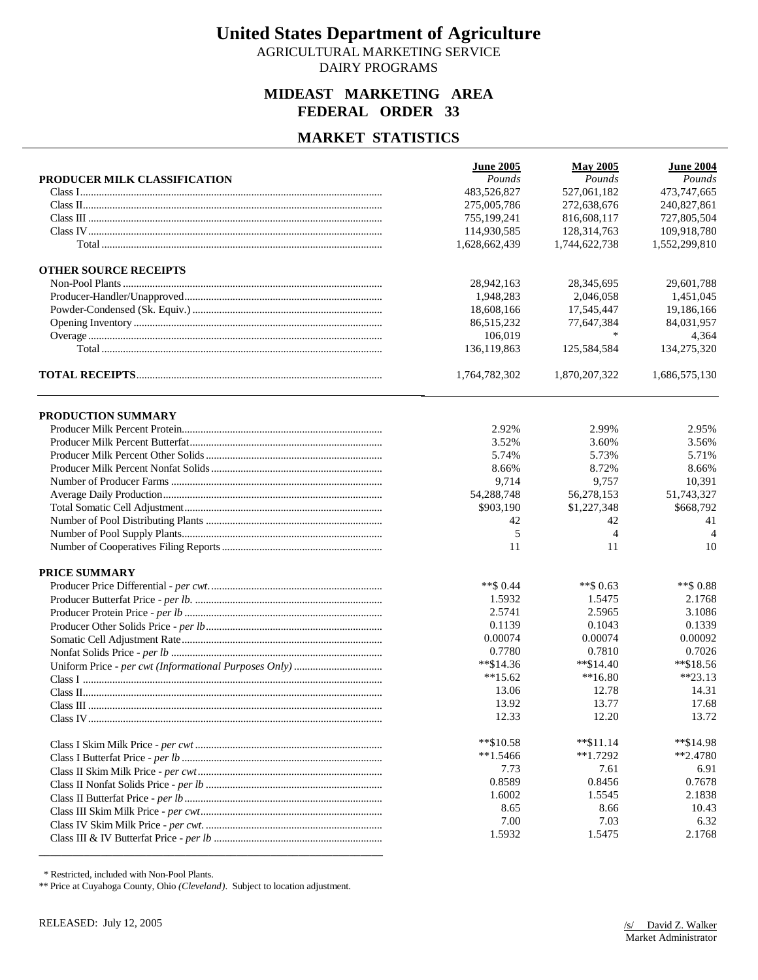AGRICULTURAL MARKETING SERVICE DAIRY PROGRAMS

### **MIDEAST MARKETING AREA FEDERAL ORDER 33**

### **MARKET STATISTICS**

|                              | <b>June 2005</b> | <b>May 2005</b> | <b>June 2004</b> |
|------------------------------|------------------|-----------------|------------------|
| PRODUCER MILK CLASSIFICATION | Pounds           | Pounds          | Pounds           |
|                              | 483,526,827      | 527,061,182     | 473,747,665      |
|                              | 275,005,786      | 272,638,676     | 240,827,861      |
|                              | 755,199,241      | 816,608,117     | 727,805,504      |
|                              | 114,930,585      | 128,314,763     | 109,918,780      |
|                              | 1,628,662,439    | 1,744,622,738   | 1,552,299,810    |
| <b>OTHER SOURCE RECEIPTS</b> |                  |                 |                  |
|                              | 28,942,163       | 28,345,695      | 29,601,788       |
|                              | 1,948,283        | 2,046,058       | 1,451,045        |
|                              | 18,608,166       | 17,545,447      | 19,186,166       |
|                              | 86,515,232       | 77,647,384      | 84,031,957       |
|                              | 106,019          | *               | 4,364            |
|                              | 136,119,863      | 125,584,584     | 134,275,320      |
|                              | 1,764,782,302    | 1,870,207,322   | 1,686,575,130    |
| PRODUCTION SUMMARY           |                  |                 |                  |
|                              | 2.92%            | 2.99%           | 2.95%            |
|                              | 3.52%            | 3.60%           | 3.56%            |
|                              | 5.74%            | 5.73%           | 5.71%            |
|                              | 8.66%            | 8.72%           | 8.66%            |
|                              | 9,714            | 9,757           | 10,391           |
|                              | 54,288,748       | 56,278,153      | 51,743,327       |
|                              | \$903,190        | \$1,227,348     | \$668,792        |
|                              | 42               | 42              | 41               |
|                              | 5                | $\overline{4}$  | $\overline{4}$   |
|                              | 11               | 11              | 10               |
| <b>PRICE SUMMARY</b>         |                  |                 |                  |
|                              | $**$ \$ 0.44     | **\$ 0.63       | **\$ 0.88        |
|                              | 1.5932           | 1.5475          | 2.1768           |
|                              | 2.5741           | 2.5965          | 3.1086           |
|                              | 0.1139           | 0.1043          | 0.1339           |
|                              | 0.00074          | 0.00074         | 0.00092          |
|                              | 0.7780           | 0.7810          | 0.7026           |
|                              | $*$ \$14.36      | $*$ \$14.40     | **\$18.56        |
|                              | $**15.62$        | $**16.80$       | $**23.13$        |
|                              | 13.06            | 12.78           | 14.31            |
|                              | 13.92            | 13.77           | 17.68            |
|                              | 12.33            | 12.20           | 13.72            |
|                              | $*$ \$10.58      | $*$ $$11.14$    | **\$14.98        |
|                              | $**1.5466$       | $*1.7292$       | $*2.4780$        |
|                              | 7.73             | 7.61            | 6.91             |
|                              | 0.8589           | 0.8456          | 0.7678           |
|                              | 1.6002           | 1.5545          | 2.1838           |
|                              | 8.65             | 8.66            | 10.43            |
|                              | 7.00             | 7.03            | 6.32             |
|                              | 1.5932           | 1.5475          | 2.1768           |
|                              |                  |                 |                  |

\* Restricted, included with Non-Pool Plants.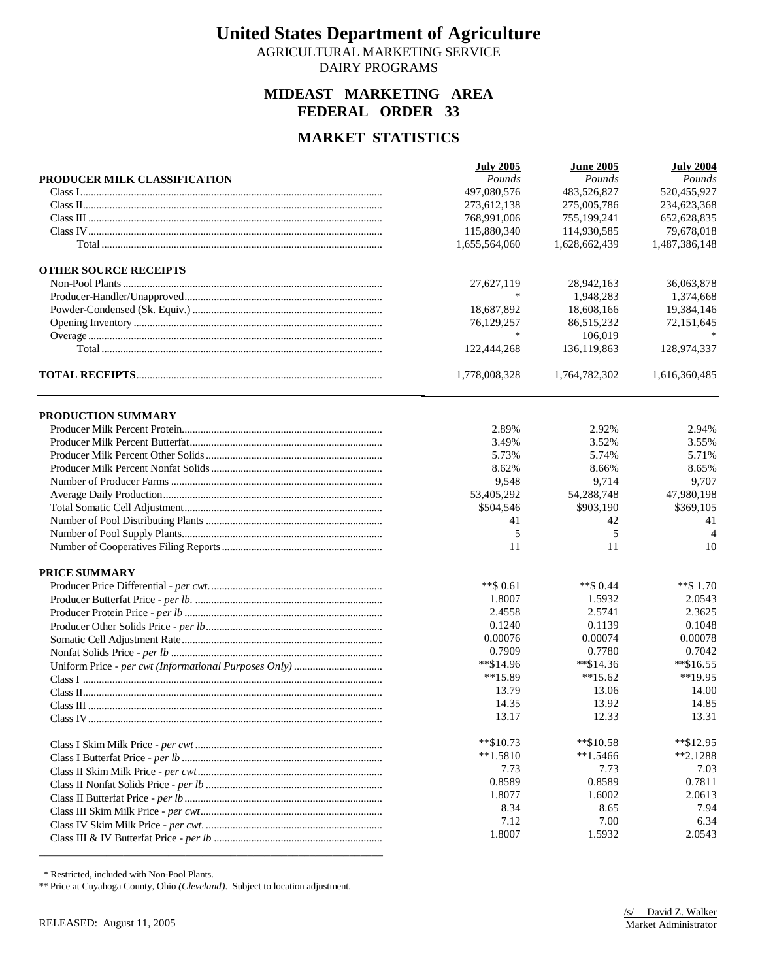AGRICULTURAL MARKETING SERVICE DAIRY PROGRAMS

### **MIDEAST MARKETING AREA FEDERAL ORDER 33**

### **MARKET STATISTICS**

|                              | <b>July 2005</b> | <b>June 2005</b> | <b>July 2004</b> |
|------------------------------|------------------|------------------|------------------|
| PRODUCER MILK CLASSIFICATION | Pounds           | Pounds           | Pounds           |
|                              | 497,080,576      | 483,526,827      | 520,455,927      |
|                              | 273,612,138      | 275,005,786      | 234,623,368      |
|                              | 768,991,006      | 755,199,241      | 652,628,835      |
|                              | 115,880,340      | 114,930,585      | 79,678,018       |
|                              | 1,655,564,060    | 1,628,662,439    | 1,487,386,148    |
| <b>OTHER SOURCE RECEIPTS</b> |                  |                  |                  |
|                              | 27,627,119       | 28,942,163       | 36,063,878       |
|                              | $\ast$           | 1,948,283        | 1,374,668        |
|                              | 18,687,892       | 18,608,166       | 19,384,146       |
|                              | 76,129,257       | 86,515,232       | 72,151,645       |
|                              | ∗                | 106,019          |                  |
|                              | 122,444,268      | 136,119,863      | 128,974,337      |
|                              | 1,778,008,328    | 1,764,782,302    | 1,616,360,485    |
| PRODUCTION SUMMARY           |                  |                  |                  |
|                              | 2.89%            | 2.92%            | 2.94%            |
|                              | 3.49%            | 3.52%            | 3.55%            |
|                              | 5.73%            | 5.74%            | 5.71%            |
|                              | 8.62%            | 8.66%            | 8.65%            |
|                              | 9,548            | 9,714            | 9,707            |
|                              | 53,405,292       | 54,288,748       | 47,980,198       |
|                              | \$504,546        | \$903,190        | \$369,105        |
|                              | 41               | 42               | 41               |
|                              | 5                | 5                | $\overline{4}$   |
|                              | 11               | 11               | 10               |
| <b>PRICE SUMMARY</b>         |                  |                  |                  |
|                              | **\$ 0.61        | ** \$0.44        | $**$ \$ 1.70     |
|                              | 1.8007           | 1.5932           | 2.0543           |
|                              | 2.4558           | 2.5741           | 2.3625           |
|                              | 0.1240           | 0.1139           | 0.1048           |
|                              | 0.00076          | 0.00074          | 0.00078          |
|                              | 0.7909           | 0.7780           | 0.7042           |
|                              | **\$14.96        | $*$ \$14.36      | $*$ \$16.55      |
|                              | $**15.89$        | $**15.62$        | $**19.95$        |
|                              | 13.79            | 13.06            | 14.00            |
|                              | 14.35            | 13.92            | 14.85            |
|                              | 13.17            | 12.33            | 13.31            |
|                              | $*$ $$10.73$     | $*$ $$10.58$     | **\$12.95        |
|                              | $**1.5810$       | $*1.5466$        | $*2.1288$        |
|                              | 7.73             | 7.73             | 7.03             |
|                              | 0.8589           | 0.8589           | 0.7811           |
|                              | 1.8077           | 1.6002           | 2.0613           |
|                              | 8.34             | 8.65             | 7.94             |
|                              | 7.12             | 7.00             | 6.34             |
|                              | 1.8007           | 1.5932           | 2.0543           |
|                              |                  |                  |                  |

\* Restricted, included with Non-Pool Plants.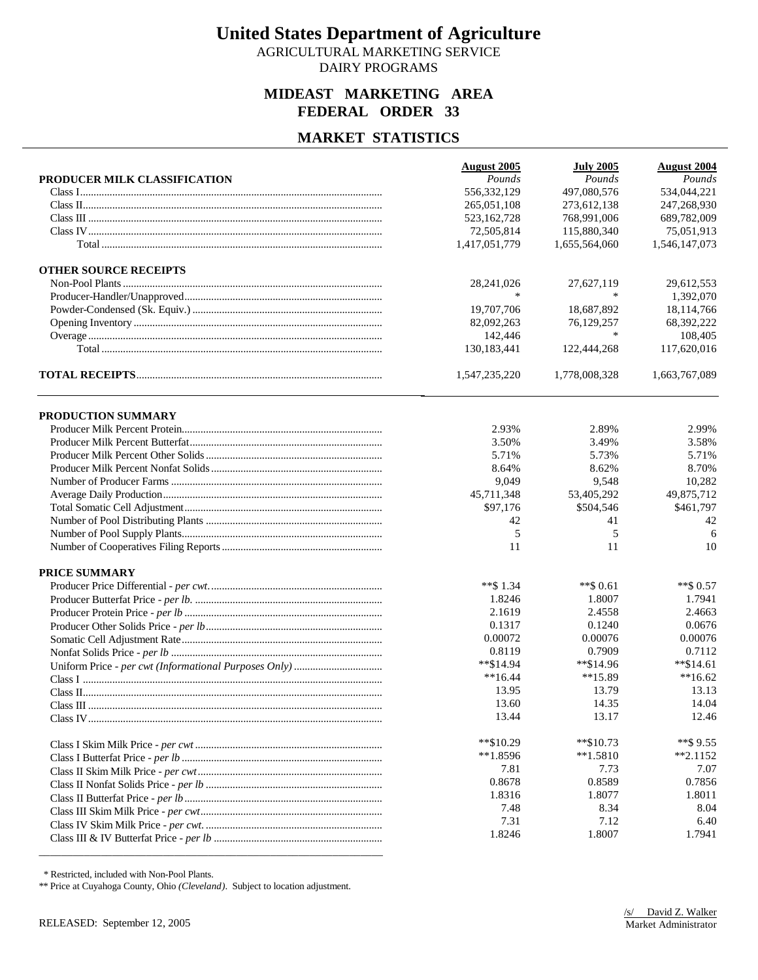AGRICULTURAL MARKETING SERVICE DAIRY PROGRAMS

### **MIDEAST MARKETING AREA FEDERAL ORDER 33**

#### **MARKET STATISTICS**

|                              | <b>August 2005</b> | <b>July 2005</b> | <b>August 2004</b> |
|------------------------------|--------------------|------------------|--------------------|
| PRODUCER MILK CLASSIFICATION | Pounds             | Pounds           | Pounds             |
|                              | 556,332,129        | 497,080,576      | 534,044,221        |
|                              | 265,051,108        | 273.612.138      | 247,268,930        |
|                              | 523,162,728        | 768,991,006      | 689,782,009        |
|                              | 72,505,814         | 115,880,340      | 75,051,913         |
|                              | 1,417,051,779      | 1,655,564,060    | 1,546,147,073      |
| <b>OTHER SOURCE RECEIPTS</b> |                    |                  |                    |
|                              | 28,241,026         | 27,627,119       | 29,612,553         |
|                              | $\ast$             | ∗                | 1,392,070          |
|                              | 19,707,706         | 18,687,892       | 18,114,766         |
|                              | 82,092,263         | 76,129,257       | 68,392,222         |
|                              | 142,446            | ∗                | 108,405            |
|                              | 130,183,441        | 122,444,268      | 117,620,016        |
|                              | 1,547,235,220      | 1,778,008,328    | 1,663,767,089      |
| PRODUCTION SUMMARY           |                    |                  |                    |
|                              | 2.93%              | 2.89%            | 2.99%              |
|                              | 3.50%              | 3.49%            | 3.58%              |
|                              | 5.71%              | 5.73%            | 5.71%              |
|                              | 8.64%              | 8.62%            | 8.70%              |
|                              | 9,049              | 9,548            | 10,282             |
|                              | 45,711,348         | 53,405,292       | 49,875,712         |
|                              | \$97,176           | \$504,546        | \$461,797          |
|                              | 42                 | 41               | 42                 |
|                              | 5                  | 5                | 6                  |
|                              | 11                 | 11               | 10                 |
| <b>PRICE SUMMARY</b>         |                    |                  |                    |
|                              | **\$ 1.34          | $**$ \$ 0.61     | $**$ \$ 0.57       |
|                              | 1.8246             | 1.8007           | 1.7941             |
|                              | 2.1619             | 2.4558           | 2.4663             |
|                              | 0.1317             | 0.1240           | 0.0676             |
|                              | 0.00072            | 0.00076          | 0.00076            |
|                              | 0.8119             | 0.7909           | 0.7112             |
|                              | $*$ \$14.94        | **\$14.96        | $*$ \$14.61        |
|                              | $**16.44$          | $**15.89$        | $**16.62$          |
|                              | 13.95              | 13.79            | 13.13              |
|                              | 13.60              | 14.35            | 14.04              |
|                              | 13.44              | 13.17            | 12.46              |
|                              | **\$10.29          | $*$ \$10.73      | **\$9.55           |
|                              | $**1.8596$         | $*1.5810$        | $*2.1152$          |
|                              | 7.81               | 7.73             | 7.07               |
|                              | 0.8678             | 0.8589           | 0.7856             |
|                              | 1.8316             | 1.8077           | 1.8011             |
|                              | 7.48               | 8.34             | 8.04               |
|                              | 7.31               | 7.12             | 6.40               |
|                              | 1.8246             | 1.8007           | 1.7941             |
|                              |                    |                  |                    |

\* Restricted, included with Non-Pool Plants.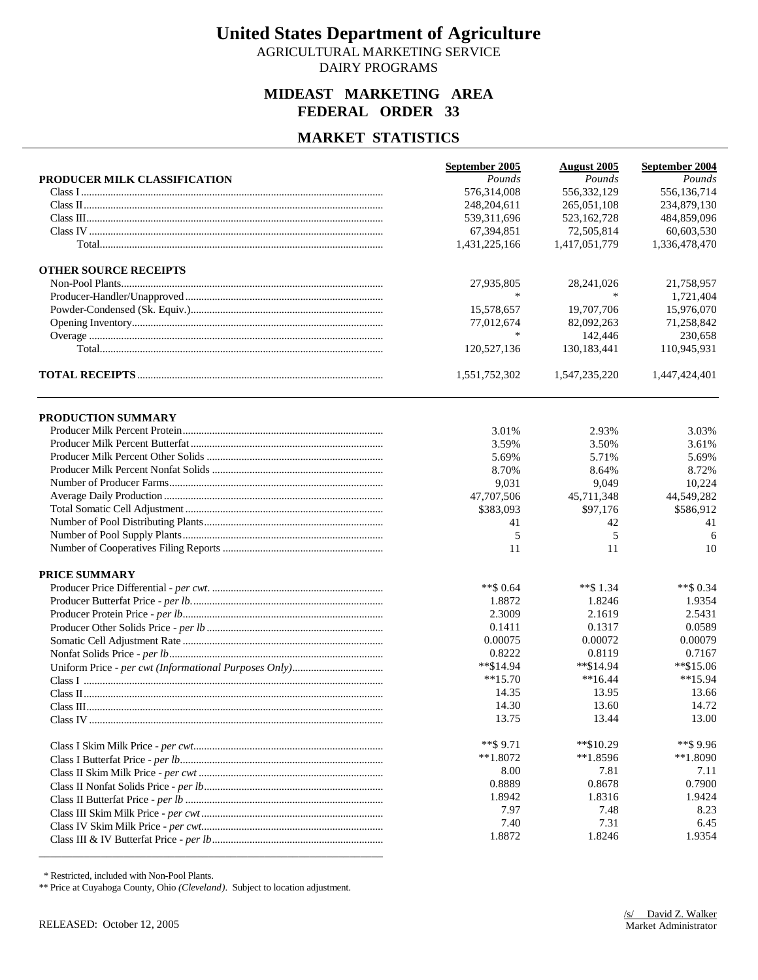AGRICULTURAL MARKETING SERVICE DAIRY PROGRAMS

### **MIDEAST MARKETING AREA FEDERAL ORDER 33**

### **MARKET STATISTICS**

|                              | September 2005 | <b>August 2005</b> | September 2004 |
|------------------------------|----------------|--------------------|----------------|
| PRODUCER MILK CLASSIFICATION | Pounds         | Pounds             | Pounds         |
|                              | 576,314,008    | 556, 332, 129      | 556,136,714    |
|                              | 248,204,611    | 265,051,108        | 234,879,130    |
|                              | 539,311,696    | 523, 162, 728      | 484,859,096    |
|                              | 67,394,851     | 72,505,814         | 60,603,530     |
|                              | 1,431,225,166  | 1,417,051,779      | 1,336,478,470  |
| <b>OTHER SOURCE RECEIPTS</b> |                |                    |                |
|                              | 27,935,805     | 28,241,026         | 21,758,957     |
|                              |                |                    | 1,721,404      |
|                              | 15,578,657     | 19,707,706         | 15,976,070     |
|                              | 77,012,674     | 82,092,263         | 71,258,842     |
|                              |                | 142,446            | 230,658        |
|                              | 120,527,136    | 130,183,441        | 110,945,931    |
|                              | 1,551,752,302  | 1,547,235,220      | 1,447,424,401  |
| PRODUCTION SUMMARY           |                |                    |                |
|                              | 3.01%          | 2.93%              | 3.03%          |
|                              | 3.59%          | 3.50%              | 3.61%          |
|                              | 5.69%          | 5.71%              | 5.69%          |
|                              | 8.70%          | 8.64%              | 8.72%          |
|                              | 9,031          | 9,049              | 10,224         |
|                              | 47,707,506     | 45,711,348         | 44,549,282     |
|                              | \$383,093      | \$97,176           | \$586,912      |
|                              | 41             | 42                 | 41             |
|                              | 5              | 5                  | 6              |
|                              | 11             | 11                 | 10             |
| <b>PRICE SUMMARY</b>         |                |                    |                |
|                              | **\$ $0.64$    | $**$ \$1.34        | $**$ \$ 0.34   |
|                              | 1.8872         | 1.8246             | 1.9354         |
|                              | 2.3009         | 2.1619             | 2.5431         |
|                              | 0.1411         | 0.1317             | 0.0589         |
|                              | 0.00075        | 0.00072            | 0.00079        |
|                              | 0.8222         | 0.8119             | 0.7167         |
|                              | $*$ \$14.94    | **\$14.94          | $*$ \$15.06    |
|                              | $**15.70$      | $**16.44$          | $**15.94$      |
|                              | 14.35          | 13.95              | 13.66          |
|                              | 14.30          | 13.60              | 14.72          |
|                              | 13.75          | 13.44              | 13.00          |
|                              | $**$ \$ 9.71   | **\$10.29          | $**$ \$9.96    |
|                              | $**1.8072$     | $*1.8596$          | $**1.8090$     |
|                              | 8.00           | 7.81               | 7.11           |
|                              | 0.8889         | 0.8678             | 0.7900         |
|                              | 1.8942         | 1.8316             | 1.9424         |
|                              | 7.97           | 7.48               | 8.23           |
|                              | 7.40           | 7.31               | 6.45           |
|                              | 1.8872         | 1.8246             | 1.9354         |

\* Restricted, included with Non-Pool Plants.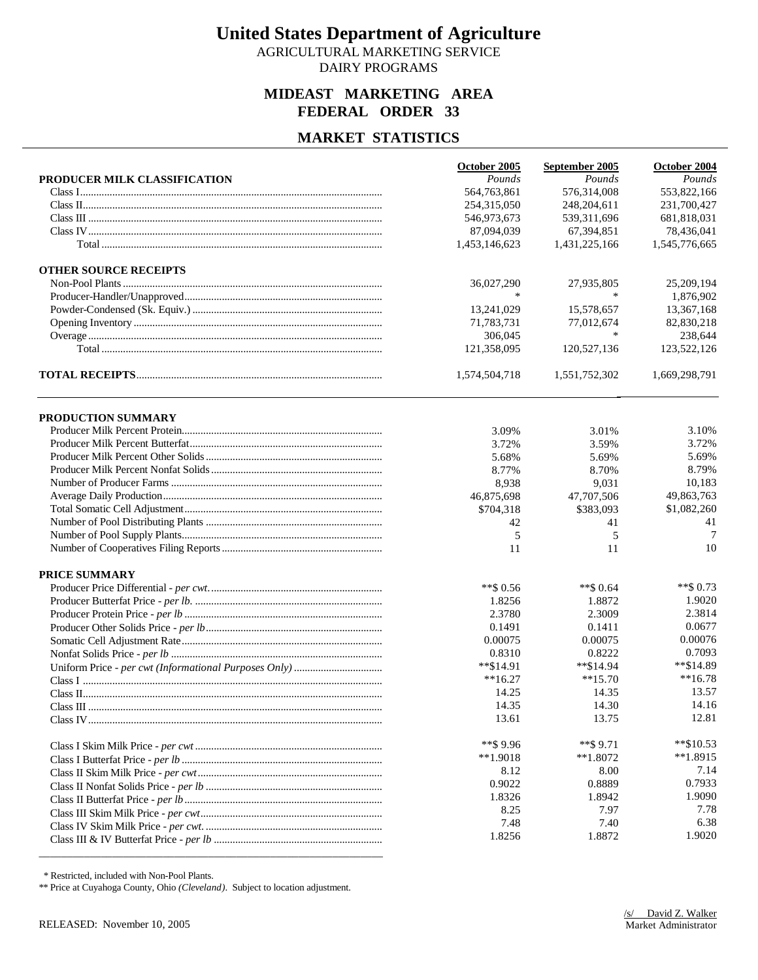AGRICULTURAL MARKETING SERVICE DAIRY PROGRAMS

### **MIDEAST MARKETING AREA FEDERAL ORDER 33**

### **MARKET STATISTICS**

|                              | October 2005  | September 2005 | October 2004  |
|------------------------------|---------------|----------------|---------------|
| PRODUCER MILK CLASSIFICATION | Pounds        | Pounds         | Pounds        |
|                              | 564,763,861   | 576,314,008    | 553,822,166   |
|                              | 254,315,050   | 248,204,611    | 231,700,427   |
|                              | 546,973,673   | 539, 311, 696  | 681,818,031   |
|                              | 87,094,039    | 67,394,851     | 78,436,041    |
|                              | 1,453,146,623 | 1,431,225,166  | 1,545,776,665 |
| <b>OTHER SOURCE RECEIPTS</b> |               |                |               |
|                              | 36,027,290    | 27,935,805     | 25,209,194    |
|                              | $\ast$        | $\ast$         | 1,876,902     |
|                              | 13,241,029    | 15,578,657     | 13,367,168    |
|                              | 71,783,731    | 77,012,674     | 82,830,218    |
|                              | 306,045       | $\ast$         | 238,644       |
|                              | 121,358,095   | 120,527,136    | 123,522,126   |
|                              | 1,574,504,718 | 1,551,752,302  | 1,669,298,791 |
| PRODUCTION SUMMARY           |               |                |               |
|                              | 3.09%         | 3.01%          | 3.10%         |
|                              | 3.72%         | 3.59%          | 3.72%         |
|                              | 5.68%         | 5.69%          | 5.69%         |
|                              | 8.77%         | 8.70%          | 8.79%         |
|                              | 8,938         | 9,031          | 10,183        |
|                              | 46,875,698    | 47,707,506     | 49,863,763    |
|                              | \$704,318     | \$383,093      | \$1,082,260   |
|                              | 42            | 41             | 41            |
|                              | 5             | 5              | 7             |
|                              | 11            | 11             | 10            |
| PRICE SUMMARY                |               |                |               |
|                              | $**$ \$ 0.56  | **\$ 0.64      | $**$ \$ 0.73  |
|                              | 1.8256        | 1.8872         | 1.9020        |
|                              | 2.3780        | 2.3009         | 2.3814        |
|                              | 0.1491        | 0.1411         | 0.0677        |
|                              | 0.00075       | 0.00075        | 0.00076       |
|                              | 0.8310        | 0.8222         | 0.7093        |
|                              | **\$14.91     | $*$ $$14.94$   | $*$ \$14.89   |
|                              | $**16.27$     | $**15.70$      | $**16.78$     |
|                              | 14.25         | 14.35          | 13.57         |
|                              | 14.35         | 14.30          | 14.16         |
|                              | 13.61         | 13.75          | 12.81         |
|                              | ** \$9.96     | $**$ \$9.71    | $*$ \$10.53   |
|                              | $**1.9018$    | $**1.8072$     | $**1.8915$    |
|                              | 8.12          | 8.00           | 7.14          |
|                              | 0.9022        | 0.8889         | 0.7933        |
|                              | 1.8326        | 1.8942         | 1.9090        |
|                              | 8.25          | 7.97           | 7.78          |
|                              | 7.48          | 7.40           | 6.38          |
|                              | 1.8256        | 1.8872         | 1.9020        |

\* Restricted, included with Non-Pool Plants.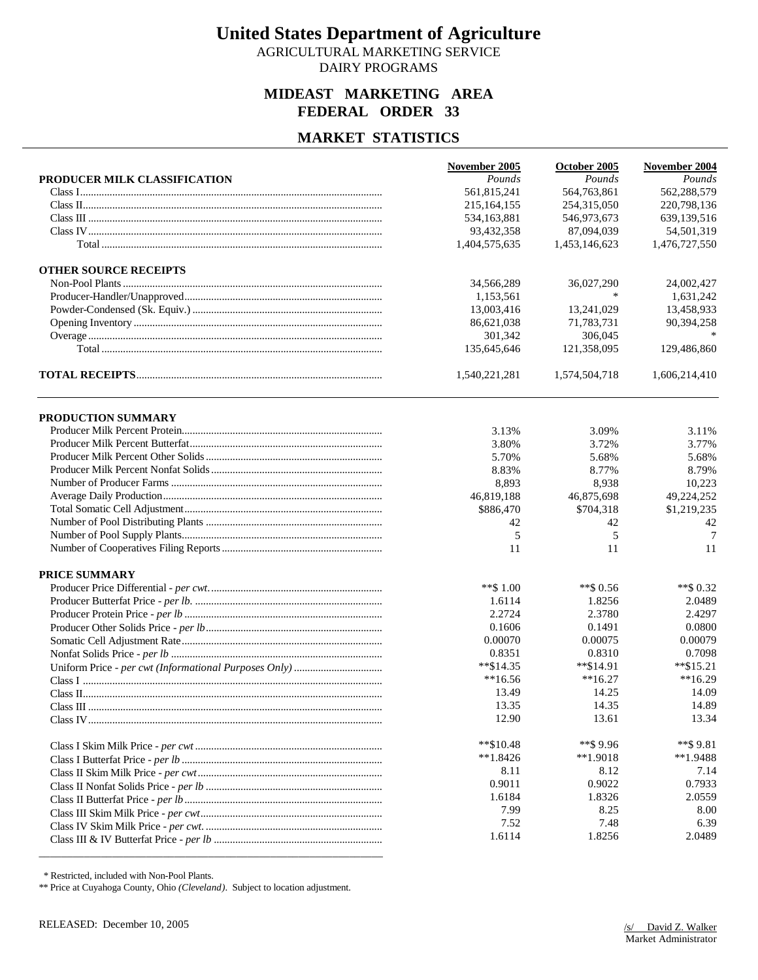AGRICULTURAL MARKETING SERVICE DAIRY PROGRAMS

### **MIDEAST MARKETING AREA FEDERAL ORDER 33**

### **MARKET STATISTICS**

|                                                                                                                                                                                                                                                                                                                                                                                                      | November 2005  | October 2005   | November 2004 |
|------------------------------------------------------------------------------------------------------------------------------------------------------------------------------------------------------------------------------------------------------------------------------------------------------------------------------------------------------------------------------------------------------|----------------|----------------|---------------|
| PRODUCER MILK CLASSIFICATION                                                                                                                                                                                                                                                                                                                                                                         | Pounds         | Pounds         | Pounds        |
|                                                                                                                                                                                                                                                                                                                                                                                                      | 561,815,241    | 564,763,861    | 562,288,579   |
|                                                                                                                                                                                                                                                                                                                                                                                                      | 215,164,155    | 254,315,050    | 220,798,136   |
| $\label{eq:Class} Class~III\  \, \ldots\  \, \ldots\  \, \ldots\  \, \ldots\  \, \ldots\  \, \ldots\  \, \ldots\  \, \ldots\  \, \ldots\  \, \ldots\  \, \ldots\  \, \ldots\  \, \ldots\  \, \ldots\  \, \ldots\  \, \ldots\  \, \ldots\  \, \ldots\  \, \ldots\  \, \ldots\  \, \ldots\  \, \ldots\  \, \ldots\  \, \ldots\  \, \ldots\  \, \ldots\  \, \ldots\  \, \ldots\  \, \ldots\  \, \ldots$ | 534,163,881    | 546,973,673    | 639,139,516   |
|                                                                                                                                                                                                                                                                                                                                                                                                      | 93,432,358     | 87,094,039     | 54,501,319    |
|                                                                                                                                                                                                                                                                                                                                                                                                      | 1,404,575,635  | 1,453,146,623  | 1,476,727,550 |
| <b>OTHER SOURCE RECEIPTS</b>                                                                                                                                                                                                                                                                                                                                                                         |                |                |               |
|                                                                                                                                                                                                                                                                                                                                                                                                      | 34,566,289     | 36,027,290     | 24,002,427    |
|                                                                                                                                                                                                                                                                                                                                                                                                      | 1,153,561      | $\ast$         | 1,631,242     |
|                                                                                                                                                                                                                                                                                                                                                                                                      | 13,003,416     | 13,241,029     | 13,458,933    |
|                                                                                                                                                                                                                                                                                                                                                                                                      | 86,621,038     | 71,783,731     | 90,394,258    |
|                                                                                                                                                                                                                                                                                                                                                                                                      | 301,342        | 306,045        |               |
|                                                                                                                                                                                                                                                                                                                                                                                                      | 135,645,646    | 121,358,095    | 129,486,860   |
|                                                                                                                                                                                                                                                                                                                                                                                                      | 1,540,221,281  | 1,574,504,718  | 1,606,214,410 |
| <b>PRODUCTION SUMMARY</b>                                                                                                                                                                                                                                                                                                                                                                            |                |                |               |
|                                                                                                                                                                                                                                                                                                                                                                                                      | 3.13%          | 3.09%          | 3.11%         |
|                                                                                                                                                                                                                                                                                                                                                                                                      | 3.80%          | 3.72%          | 3.77%         |
|                                                                                                                                                                                                                                                                                                                                                                                                      | 5.70%          | 5.68%          | 5.68%         |
|                                                                                                                                                                                                                                                                                                                                                                                                      | 8.83%          | 8.77%          | 8.79%         |
|                                                                                                                                                                                                                                                                                                                                                                                                      | 8,893          | 8,938          | 10,223        |
|                                                                                                                                                                                                                                                                                                                                                                                                      | 46,819,188     | 46,875,698     | 49,224,252    |
|                                                                                                                                                                                                                                                                                                                                                                                                      | \$886,470      | \$704,318      | \$1,219,235   |
|                                                                                                                                                                                                                                                                                                                                                                                                      | 42             | 42             | 42            |
|                                                                                                                                                                                                                                                                                                                                                                                                      | 5              | 5              | 7             |
|                                                                                                                                                                                                                                                                                                                                                                                                      | 11             | 11             | 11            |
| PRICE SUMMARY                                                                                                                                                                                                                                                                                                                                                                                        |                |                |               |
|                                                                                                                                                                                                                                                                                                                                                                                                      | **\$ $1.00$    | $**$ \$ 0.56   | ** \$0.32     |
|                                                                                                                                                                                                                                                                                                                                                                                                      | 1.6114         | 1.8256         | 2.0489        |
|                                                                                                                                                                                                                                                                                                                                                                                                      | 2.2724         | 2.3780         | 2.4297        |
|                                                                                                                                                                                                                                                                                                                                                                                                      | 0.1606         | 0.1491         | 0.0800        |
|                                                                                                                                                                                                                                                                                                                                                                                                      | 0.00070        | 0.00075        | 0.00079       |
|                                                                                                                                                                                                                                                                                                                                                                                                      | 0.8351         | 0.8310         | 0.7098        |
|                                                                                                                                                                                                                                                                                                                                                                                                      | $*$ \$14.35    | $*$ \$14.91    | $*$ \$15.21   |
|                                                                                                                                                                                                                                                                                                                                                                                                      | $**16.56$      | $**16.27$      | $**16.29$     |
|                                                                                                                                                                                                                                                                                                                                                                                                      | 13.49          | 14.25          | 14.09         |
|                                                                                                                                                                                                                                                                                                                                                                                                      | 13.35          | 14.35          | 14.89         |
|                                                                                                                                                                                                                                                                                                                                                                                                      | 12.90          | 13.61          | 13.34         |
|                                                                                                                                                                                                                                                                                                                                                                                                      | $*$ \$10.48    | $**$ \$9.96    | $**$ \$9.81   |
|                                                                                                                                                                                                                                                                                                                                                                                                      | $**1.8426$     | $**1.9018$     | $*1.9488$     |
|                                                                                                                                                                                                                                                                                                                                                                                                      | 8.11           | 8.12           | 7.14          |
|                                                                                                                                                                                                                                                                                                                                                                                                      | 0.9011         | 0.9022         | 0.7933        |
|                                                                                                                                                                                                                                                                                                                                                                                                      | 1.6184         | 1.8326         | 2.0559        |
|                                                                                                                                                                                                                                                                                                                                                                                                      | 7.99           | 8.25           | 8.00          |
|                                                                                                                                                                                                                                                                                                                                                                                                      | 7.52<br>1.6114 | 7.48<br>1.8256 | 6.39          |
|                                                                                                                                                                                                                                                                                                                                                                                                      |                |                | 2.0489        |

\* Restricted, included with Non-Pool Plants.